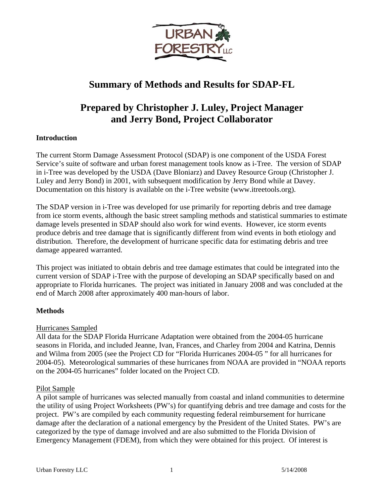

## **Summary of Methods and Results for SDAP-FL**

## **Prepared by Christopher J. Luley, Project Manager and Jerry Bond, Project Collaborator**

## **Introduction**

The current Storm Damage Assessment Protocol (SDAP) is one component of the USDA Forest Service's suite of software and urban forest management tools know as i-Tree. The version of SDAP in i-Tree was developed by the USDA (Dave Bloniarz) and Davey Resource Group (Christopher J. Luley and Jerry Bond) in 2001, with subsequent modification by Jerry Bond while at Davey. Documentation on this history is available on the i-Tree website (www.itreetools.org).

The SDAP version in i-Tree was developed for use primarily for reporting debris and tree damage from ice storm events, although the basic street sampling methods and statistical summaries to estimate damage levels presented in SDAP should also work for wind events. However, ice storm events produce debris and tree damage that is significantly different from wind events in both etiology and distribution. Therefore, the development of hurricane specific data for estimating debris and tree damage appeared warranted.

This project was initiated to obtain debris and tree damage estimates that could be integrated into the current version of SDAP i-Tree with the purpose of developing an SDAP specifically based on and appropriate to Florida hurricanes. The project was initiated in January 2008 and was concluded at the end of March 2008 after approximately 400 man-hours of labor.

## **Methods**

## Hurricanes Sampled

All data for the SDAP Florida Hurricane Adaptation were obtained from the 2004-05 hurricane seasons in Florida, and included Jeanne, Ivan, Frances, and Charley from 2004 and Katrina, Dennis and Wilma from 2005 (see the Project CD for "Florida Hurricanes 2004-05 " for all hurricanes for 2004-05). Meteorological summaries of these hurricanes from NOAA are provided in "NOAA reports on the 2004-05 hurricanes" folder located on the Project CD.

## Pilot Sample

A pilot sample of hurricanes was selected manually from coastal and inland communities to determine the utility of using Project Worksheets (PW's) for quantifying debris and tree damage and costs for the project. PW's are compiled by each community requesting federal reimbursement for hurricane damage after the declaration of a national emergency by the President of the United States. PW's are categorized by the type of damage involved and are also submitted to the Florida Division of Emergency Management (FDEM), from which they were obtained for this project. Of interest is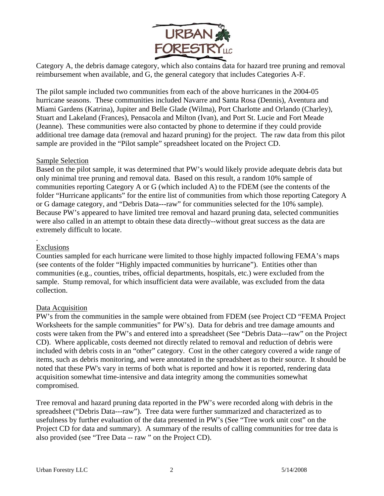

Category A, the debris damage category, which also contains data for hazard tree pruning and removal reimbursement when available, and G, the general category that includes Categories A-F.

The pilot sample included two communities from each of the above hurricanes in the 2004-05 hurricane seasons. These communities included Navarre and Santa Rosa (Dennis), Aventura and Miami Gardens (Katrina), Jupiter and Belle Glade (Wilma), Port Charlotte and Orlando (Charley), Stuart and Lakeland (Frances), Pensacola and Milton (Ivan), and Port St. Lucie and Fort Meade (Jeanne). These communities were also contacted by phone to determine if they could provide additional tree damage data (removal and hazard pruning) for the project. The raw data from this pilot sample are provided in the "Pilot sample" spreadsheet located on the Project CD.

## Sample Selection

Based on the pilot sample, it was determined that PW's would likely provide adequate debris data but only minimal tree pruning and removal data. Based on this result, a random 10% sample of communities reporting Category A or G (which included A) to the FDEM (see the contents of the folder "Hurricane applicants" for the entire list of communities from which those reporting Category A or G damage category, and "Debris Data---raw" for communities selected for the 10% sample). Because PW's appeared to have limited tree removal and hazard pruning data, selected communities were also called in an attempt to obtain these data directly--without great success as the data are extremely difficult to locate.

### . Exclusions

Counties sampled for each hurricane were limited to those highly impacted following FEMA's maps (see contents of the folder "Highly impacted communities by hurricane"). Entities other than communities (e.g., counties, tribes, official departments, hospitals, etc.) were excluded from the sample. Stump removal, for which insufficient data were available, was excluded from the data collection.

## Data Acquisition

PW's from the communities in the sample were obtained from FDEM (see Project CD "FEMA Project Worksheets for the sample communities" for PW's). Data for debris and tree damage amounts and costs were taken from the PW's and entered into a spreadsheet (See "Debris Data---raw" on the Project CD). Where applicable, costs deemed not directly related to removal and reduction of debris were included with debris costs in an "other" category. Cost in the other category covered a wide range of items, such as debris monitoring, and were annotated in the spreadsheet as to their source. It should be noted that these PW's vary in terms of both what is reported and how it is reported, rendering data acquisition somewhat time-intensive and data integrity among the communities somewhat compromised.

Tree removal and hazard pruning data reported in the PW's were recorded along with debris in the spreadsheet ("Debris Data---raw"). Tree data were further summarized and characterized as to usefulness by further evaluation of the data presented in PW's (See "Tree work unit cost" on the Project CD for data and summary). A summary of the results of calling communities for tree data is also provided (see "Tree Data -- raw " on the Project CD).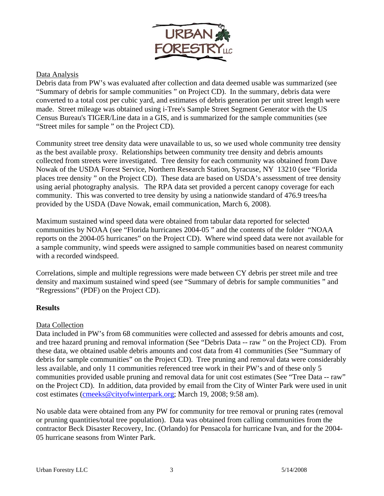

## Data Analysis

Debris data from PW's was evaluated after collection and data deemed usable was summarized (see "Summary of debris for sample communities " on Project CD). In the summary, debris data were converted to a total cost per cubic yard, and estimates of debris generation per unit street length were made. Street mileage was obtained using i-Tree's Sample Street Segment Generator with the US Census Bureau's TIGER/Line data in a GIS, and is summarized for the sample communities (see "Street miles for sample " on the Project CD).

Community street tree density data were unavailable to us, so we used whole community tree density as the best available proxy. Relationships between community tree density and debris amounts collected from streets were investigated. Tree density for each community was obtained from Dave Nowak of the USDA Forest Service, Northern Research Station, Syracuse, NY 13210 (see "Florida places tree density " on the Project CD). These data are based on USDA's assessment of tree density using aerial photography analysis. The RPA data set provided a percent canopy coverage for each community. This was converted to tree density by using a nationwide standard of 476.9 trees/ha provided by the USDA (Dave Nowak, email communication, March 6, 2008).

Maximum sustained wind speed data were obtained from tabular data reported for selected communities by NOAA (see "Florida hurricanes 2004-05 " and the contents of the folder "NOAA reports on the 2004-05 hurricanes" on the Project CD). Where wind speed data were not available for a sample community, wind speeds were assigned to sample communities based on nearest community with a recorded windspeed.

Correlations, simple and multiple regressions were made between CY debris per street mile and tree density and maximum sustained wind speed (see "Summary of debris for sample communities " and "Regressions" (PDF) on the Project CD).

## **Results**

## Data Collection

Data included in PW's from 68 communities were collected and assessed for debris amounts and cost, and tree hazard pruning and removal information (See "Debris Data -- raw " on the Project CD). From these data, we obtained usable debris amounts and cost data from 41 communities (See "Summary of debris for sample communities" on the Project CD). Tree pruning and removal data were considerably less available, and only 11 communities referenced tree work in their PW's and of these only 5 communities provided usable pruning and removal data for unit cost estimates (See "Tree Data -- raw" on the Project CD). In addition, data provided by email from the City of Winter Park were used in unit cost estimates ([cmeeks@cityofwinterpark.org;](mailto:cmeeks@cityofwinterpark.org) March 19, 2008; 9:58 am).

No usable data were obtained from any PW for community for tree removal or pruning rates (removal or pruning quantities/total tree population). Data was obtained from calling communities from the contractor Beck Disaster Recovery, Inc. (Orlando) for Pensacola for hurricane Ivan, and for the 2004- 05 hurricane seasons from Winter Park.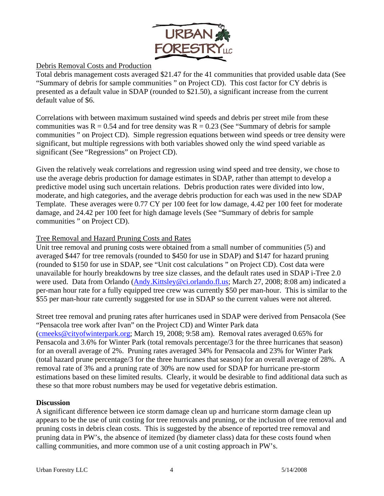

## Debris Removal Costs and Production

Total debris management costs averaged \$21.47 for the 41 communities that provided usable data (See "Summary of debris for sample communities " on Project CD). This cost factor for CY debris is presented as a default value in SDAP (rounded to \$21.50), a significant increase from the current default value of \$6.

Correlations with between maximum sustained wind speeds and debris per street mile from these communities was  $R = 0.54$  and for tree density was  $R = 0.23$  (See "Summary of debris for sample communities " on Project CD). Simple regression equations between wind speeds or tree density were significant, but multiple regressions with both variables showed only the wind speed variable as significant (See "Regressions" on Project CD).

Given the relatively weak correlations and regression using wind speed and tree density, we chose to use the average debris production for damage estimates in SDAP, rather than attempt to develop a predictive model using such uncertain relations. Debris production rates were divided into low, moderate, and high categories, and the average debris production for each was used in the new SDAP Template. These averages were 0.77 CY per 100 feet for low damage, 4.42 per 100 feet for moderate damage, and 24.42 per 100 feet for high damage levels (See "Summary of debris for sample communities " on Project CD).

## Tree Removal and Hazard Pruning Costs and Rates

Unit tree removal and pruning costs were obtained from a small number of communities (5) and averaged \$447 for tree removals (rounded to \$450 for use in SDAP) and \$147 for hazard pruning (rounded to \$150 for use in SDAP, see "Unit cost calculations " on Project CD). Cost data were unavailable for hourly breakdowns by tree size classes, and the default rates used in SDAP i-Tree 2.0 were used. Data from Orlando [\(Andy.Kittsley@ci.orlando.fl.us](mailto:Andy.Kittsley@ci.orlando.fl.us); March 27, 2008; 8:08 am) indicated a per-man hour rate for a fully equipped tree crew was currently \$50 per man-hour. This is similar to the \$55 per man-hour rate currently suggested for use in SDAP so the current values were not altered.

Street tree removal and pruning rates after hurricanes used in SDAP were derived from Pensacola (See "Pensacola tree work after Ivan" on the Project CD) and Winter Park data ([cmeeks@cityofwinterpark.org;](mailto:cmeeks@cityofwinterpark.org) March 19, 2008; 9:58 am). Removal rates averaged 0.65% for Pensacola and 3.6% for Winter Park (total removals percentage/3 for the three hurricanes that season) for an overall average of 2%. Pruning rates averaged 34% for Pensacola and 23% for Winter Park (total hazard prune percentage/3 for the three hurricanes that season) for an overall average of 28%. A removal rate of 3% and a pruning rate of 30% are now used for SDAP for hurricane pre-storm estimations based on these limited results. Clearly, it would be desirable to find additional data such as these so that more robust numbers may be used for vegetative debris estimation.

## **Discussion**

A significant difference between ice storm damage clean up and hurricane storm damage clean up appears to be the use of unit costing for tree removals and pruning, or the inclusion of tree removal and pruning costs in debris clean costs. This is suggested by the absence of reported tree removal and pruning data in PW's, the absence of itemized (by diameter class) data for these costs found when calling communities, and more common use of a unit costing approach in PW's.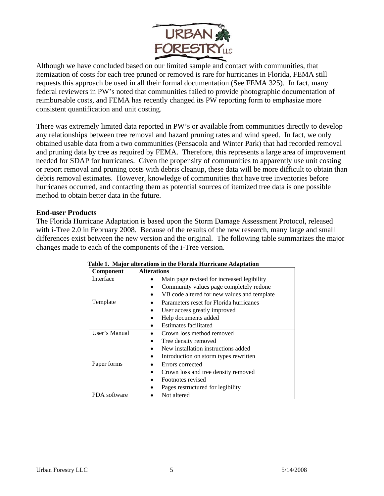

Although we have concluded based on our limited sample and contact with communities, that itemization of costs for each tree pruned or removed is rare for hurricanes in Florida, FEMA still requests this approach be used in all their formal documentation (See FEMA 325). In fact, many federal reviewers in PW's noted that communities failed to provide photographic documentation of reimbursable costs, and FEMA has recently changed its PW reporting form to emphasize more consistent quantification and unit costing.

There was extremely limited data reported in PW's or available from communities directly to develop any relationships between tree removal and hazard pruning rates and wind speed. In fact, we only obtained usable data from a two communities (Pensacola and Winter Park) that had recorded removal and pruning data by tree as required by FEMA. Therefore, this represents a large area of improvement needed for SDAP for hurricanes. Given the propensity of communities to apparently use unit costing or report removal and pruning costs with debris cleanup, these data will be more difficult to obtain than debris removal estimates. However, knowledge of communities that have tree inventories before hurricanes occurred, and contacting them as potential sources of itemized tree data is one possible method to obtain better data in the future.

## **End-user Products**

The Florida Hurricane Adaptation is based upon the Storm Damage Assessment Protocol, released with i-Tree 2.0 in February 2008. Because of the results of the new research, many large and small differences exist between the new version and the original. The following table summarizes the major changes made to each of the components of the i-Tree version.

| <b>Component</b> | <b>Alterations</b>                          |
|------------------|---------------------------------------------|
| Interface        | Main page revised for increased legibility  |
|                  | Community values page completely redone     |
|                  | VB code altered for new values and template |
| Template         | Parameters reset for Florida hurricanes     |
|                  | User access greatly improved                |
|                  | Help documents added                        |
|                  | Estimates facilitated                       |
| User's Manual    | Crown loss method removed                   |
|                  | Tree density removed                        |
|                  | New installation instructions added         |
|                  | Introduction on storm types rewritten       |
| Paper forms      | Errors corrected                            |
|                  | Crown loss and tree density removed         |
|                  | Footnotes revised                           |
|                  | Pages restructured for legibility           |
| PDA software     | Not altered                                 |

#### **Table 1. Major alterations in the Florida Hurricane Adaptation**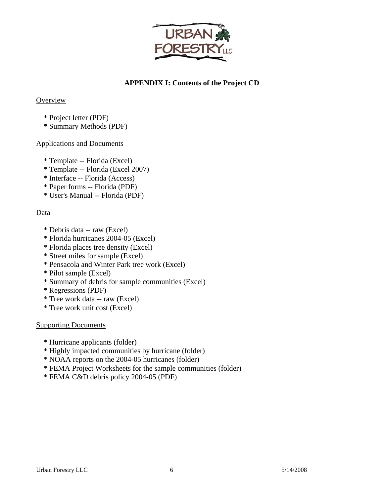

## **APPENDIX I: Contents of the Project CD**

## **Overview**

- \* Project letter (PDF)
- \* Summary Methods (PDF)

## Applications and Documents

- \* Template -- Florida (Excel)
- \* Template -- Florida (Excel 2007)
- \* Interface -- Florida (Access)
- \* Paper forms -- Florida (PDF)
- \* User's Manual -- Florida (PDF)

## **Data**

- \* Debris data -- raw (Excel)
- \* Florida hurricanes 2004-05 (Excel)
- \* Florida places tree density (Excel)
- \* Street miles for sample (Excel)
- \* Pensacola and Winter Park tree work (Excel)
- \* Pilot sample (Excel)
- \* Summary of debris for sample communities (Excel)
- \* Regressions (PDF)
- \* Tree work data -- raw (Excel)
- \* Tree work unit cost (Excel)

## Supporting Documents

- \* Hurricane applicants (folder)
- \* Highly impacted communities by hurricane (folder)
- \* NOAA reports on the 2004-05 hurricanes (folder)
- \* FEMA Project Worksheets for the sample communities (folder)
- \* FEMA C&D debris policy 2004-05 (PDF)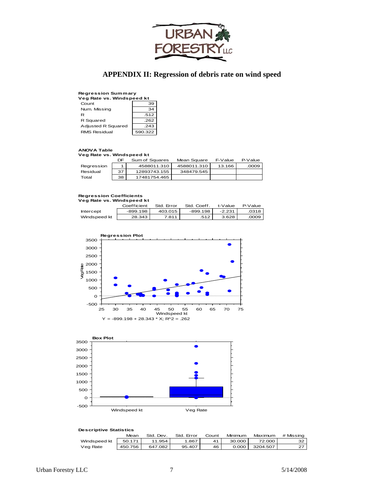

## **APPENDIX II: Regression of debris rate on wind speed**

## **Regression Summary Veg Rate vs. Windspeed kt**

| Veg Rate vs. Windspeed kt |         |  |  |  |
|---------------------------|---------|--|--|--|
| Count                     | 39      |  |  |  |
| Num. Missing              | 34      |  |  |  |
| R                         | .512    |  |  |  |
| R Squared                 | .262    |  |  |  |
| Adjusted R Squared        | .243    |  |  |  |
| <b>RMS Residual</b>       | 590.322 |  |  |  |

#### **ANOVA Table**

**Veg Rate vs. Windspeed kt**

|            | DF | Sum of Squares | Mean Square | F-Value | P-Value |
|------------|----|----------------|-------------|---------|---------|
| Regression |    | 4588011.310    | 4588011.310 | 13.166  | .0009   |
| Residual   | 37 | 12893743.155   | 348479.545  |         |         |
| Total      | 38 | 17481754.465   |             |         |         |

## **Regression Coefficients Veg Rate vs. Windspeed kt**

| _____<br>________ |             |            |             |          |         |  |
|-------------------|-------------|------------|-------------|----------|---------|--|
|                   | Coefficient | Std. Error | Std. Coeff. | t-Value  | P-Value |  |
| Intercept         | -899.198    | 403.015    | $-899.198$  | $-2.231$ | .0318   |  |
| Windspeed kt      | 28.343      | 7.811      | .512        | 3.628    | .0009   |  |





| bescriptive otatistics |         |           |            |       |         |          |           |
|------------------------|---------|-----------|------------|-------|---------|----------|-----------|
|                        | Mean    | Std. Dev. | Std. Error | Count | Minimum | Maximum  | # Missing |
| Windspeed kt           | 50.171  | 11.954    | 1.867      | 41    | 30.000  | 72.000   | 32        |
| Veg Rate               | 450.756 | 647.082   | 95.407     | 46    | 0.000   | 3204.507 | 27        |

**Descriptive Statistics**